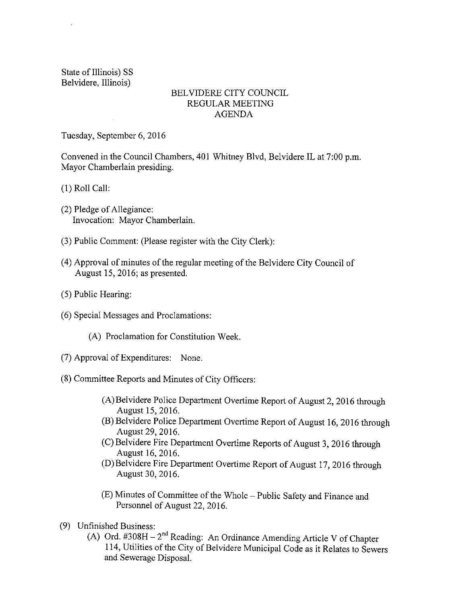State of Illinois) SS Belvidere, Illinois)

# BELVIDERE CITY COUNCIL REGULAR MEETING AGENDA

Tuesday, September 6, 2016

Convened in the Council Chambers, 401 Whitney Blvd, Belvidere IL at 7:00 p.m. Mayor Chamberlain presiding.

1) Roll Call:

- 2) Pledge of Allegiance: Invocation: Mayor Chamberlain.
- 3) Public Comment: (Please register with the City Clerk):
- 4) Approval of minutes of the regular meeting of the Belvidere City Council of August 15, 2016; as presented.
- 5) Public Hearing:
- 6) Special Messages and Proclamations:
	- A) Proclamation for Constitution Week.
- 7) Approval of Expenditures: None.
- 8) Committee Reports and Minutes of City Officers:
	- A)Belvidere Police Department Overtime Report of August 2, 2016 through August 15, 2016.
	- B) Belvidere Police Department Overtime Report of August 16, 2016 through August 29, 2016.
	- C) Belvidere Fire Department Overtime Reports of August 3, 2016 through August 16, 2016.
	- D) Belvidere Fire Department Overtime Report of August 17, 2016 through August 30, 2016.
	- E) Minutes of Committee of the Whole— Public Safety and Finance and Personnel of August 22, 2016.
- 9) Unfinished Business:
	- A) Ord.  $\#308H 2^{nd}$  Reading: An Ordinance Amending Article V of Chapter 114, Utilities of the City of Belvidere Municipal Code as it Relates to Sewers and Sewerage Disposal.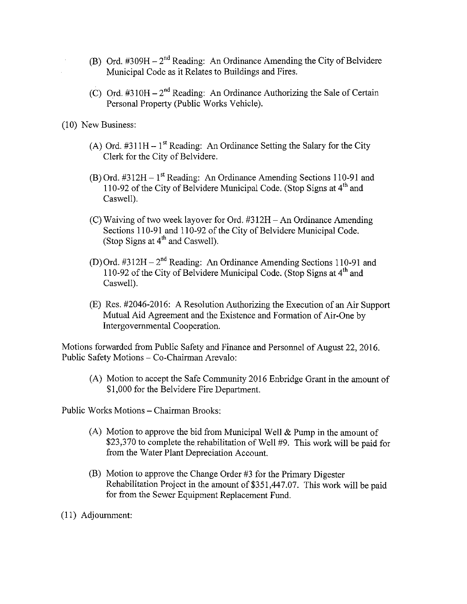- B) Ord.  $\#309H 2^{nd}$  Reading: An Ordinance Amending the City of Belvidere Municipal Code as it Relates to Buildings and Fires.
- (C) Ord.  $\#310H 2^{nd}$  Reading: An Ordinance Authorizing the Sale of Certain Personal Property (Public Works Vehicle).
- 10) New Business:
	- (A) Ord.  $\#311H 1^{st}$  Reading: An Ordinance Setting the Salary for the City Clerk for the City of Belvidere.
	- B) Ord.  $\#312H 1^{st}$  Reading: An Ordinance Amending Sections 110-91 and 110-92 of the City of Belvidere Municipal Code. (Stop Signs at  $4<sup>th</sup>$  and Caswell).
	- $(C)$  Waiving of two week layover for Ord. #312H An Ordinance Amending Sections 110-91 and 110-92 of the City of Belvidere Municipal Code. (Stop Signs at  $4<sup>th</sup>$  and Caswell).
	- (D) Ord.  $\#312H 2^{nd}$  Reading: An Ordinance Amending Sections 110-91 and 110-92 of the City of Belvidere Municipal Code. (Stop Signs at 4<sup>th</sup> and Caswell).
	- E) Res. # 2046- 2016: A Resolution Authorizing the Execution of an Air Support Mutual Aid Agreement and the Existence and Formation of Air-One by Intergovernmental Cooperation.

Motions forwarded from Public Safety and Finance and Personnel of August 22, 2016. Public Safety Motions - Co-Chairman Arevalo:

A) Motion to accept the Safe Community 2016 Enbridge Grant in the amount of \$1,000 for the Belvidere Fire Department.

Public Works Motions—Chairman Brooks:

- (A) Motion to approve the bid from Municipal Well  $&$  Pump in the amount of \$23,370 to complete the rehabilitation of Well  $#9$ . This work will be paid for from the Water Plant Depreciation Account.
- (B) Motion to approve the Change Order #3 for the Primary Digester Rehabilitation Project in the amount of \$351,447.07. This work will be paid for from the Sewer Equipment Replacement Fund.
- 11) Adjournment: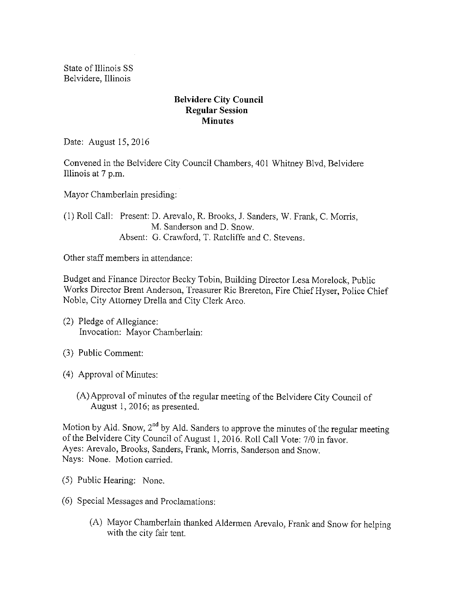State of Illinois SS Belvidere, Illinois

# Belvidere City Council Regular Session **Minutes**

Date: August 15, 2016

Convened in the Belvidere City Council Chambers, 401 Whitney Blvd, Belvidere Illinois at 7 p.m.

Mayor Chamberlain presiding:

1) Roll Call: Present: D. Arevalo, R. Brooks, J. Sanders, W. Frank, C. Morris, M. Sanderson and D. Snow. Absent: G. Crawford, T. Ratcliffe and C. Stevens.

Other staff members in attendance:

Budget and Finance Director Becky Tobin, Building Director Lesa Morelock, Public Works Director Brent Anderson, Treasurer Ric Brereton, Fire Chief Hyser, Police Chief Noble, City Attorney Drella and City Clerk Arco.

- 2) Pledge of Allegiance: Invocation: Mayor Chamberlain:
- 3) Public Comment:
- 4) Approval of Minutes:
	- A) Approval of minutes of the regular meeting of the Belvidere City Council of August 1, 2016; as presented.

Motion by Ald. Snow,  $2<sup>nd</sup>$  by Ald. Sanders to approve the minutes of the regular meeting of the Belvidere City Council of August 1, 2016. Roll Call Vote: 7/0 in favor. Ayes: Arevalo, Brooks, Sanders, Frank, Morris, Sanderson and Snow. Nays: None. Motion carried.

- 5) Public Hearing: None.
- 6) Special Messages and Proclamations:
	- A) Mayor Chamberlain thanked Aldermen Arevalo, Frank and Snow for helping with the city fair tent.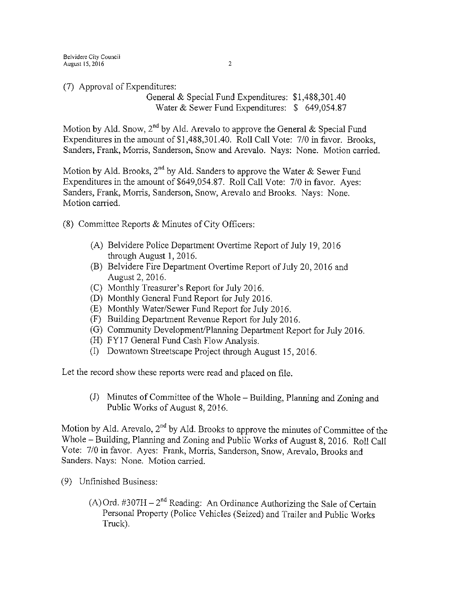7) Approval of Expenditures:

General & Special Fund Expenditures: \$1,488,301.40 Water & Sewer Fund Expenditures: \$ 649,054.87

Motion by Ald. Snow, 2<sup>nd</sup> by Ald. Arevalo to approve the General & Special Fund Expenditures in the amount of \$1,488, 301. 40. Roll Call Vote: 7/0 in favor. Brooks, Sanders, Frank, Morris, Sanderson, Snow and Arevalo. Nays: None. Motion carried.

Motion by Ald. Brooks,  $2^{\mathsf{nd}}$  by Ald. Sanders to approve the Water  $\boldsymbol{\&}$  Sewer Fund Expenditures in the amount of \$649,054.87. Roll Call Vote: 7/0 in favor. Aves: Sanders, Frank, Morris, Sanderson, Snow, Arevalo and Brooks. Nays: None. Motion carried.

- 8) Committee Reports & Minutes of City Officers:
	- A) Belvidere Police Department Overtime Report of July 19, 2016 through August 1, 2016.
	- B) Belvidere Fire Department Overtime Report of July 20, 2016 and August 2, 2016.
	- (C) Monthly Treasurer's Report for July 2016.
	- D) Monthly General Fund Report for July 2016.
	- E) Monthly Water/Sewer Fund Report for July 2016.
	- F) Building Department Revenue Report for July 2016.
	- G) Community Development/Planning Department Report for July 2016.
	- (H) FY17 General Fund Cash Flow Analysis.
	- I) Downtown Streetscape Project through August 15, 2016.

Let the record show these reports were read and placed on file.

J) Minutes of Committee of the Whole— Building, Planning and Zoning and Public Works of August 8, 2016.

Motion by Ald. Arevalo, 2<sup>nd</sup> by Ald. Brooks to approve the minutes of Committee of the Whole—Building, Planning and Zoning and Public Works of August 8, 2016. Roll Call Vote: 7/0 in favor. Ayes: Frank, Morris, Sanderson, Snow, Arevalo, Brooks and Sanders. Nays: None. Motion carried.

- 9) Unfinished Business:
	- A) Ord.  $\#307H 2^{nd}$  Reading: An Ordinance Authorizing the Sale of Certain Personal Property (Police Vehicles (Seized) and Trailer and Public Works Truck).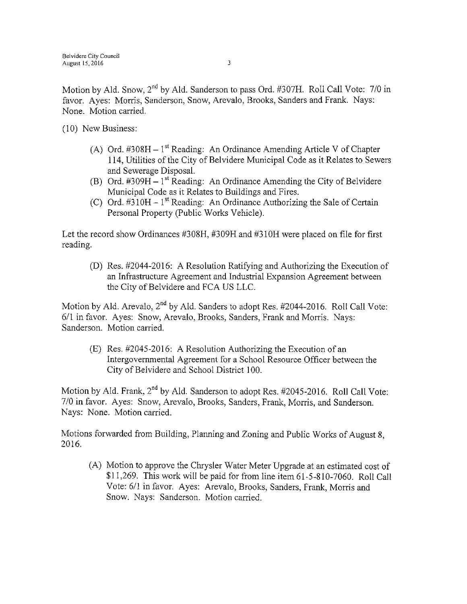Motion by Ald. Snow, 2<sup>nd</sup> by Ald. Sanderson to pass Ord. #307H. Roll Call Vote: 7/0 in favor. Ayes: Morris, Sanderson, Snow, Arevalo, Brooks, Sanders and Frank. Nays: None. Motion carried.

10) New Business:

- (A) Ord.  $\#308H 1^{st}$  Reading: An Ordinance Amending Article V of Chapter 114, Utilities of the City of Belvidere Municipal Code as it Relates to Sewers and Sewerage Disposal.
- (B) Ord.  $\sharp 309H 1$ <sup>st</sup> Reading: An Ordinance Amending the City of Belvidere Municipal Code as it Relates to Buildings and Fires.
- C) Ord.  $\#310H 1^{st}$  Reading: An Ordinance Authorizing the Sale of Certain Personal Property (Public Works Vehicle).

Let the record show Ordinances #308H, #309H and #310H were placed on file for first reading.

D) Res. # 2044-2016: A Resolution Ratifying and Authorizing the Execution of an Infrastructure Agreement and Industrial Expansion Agreement between the City of Belvidere and FCA US LLC.

Motion by Ald. Arevalo,  $2<sup>nd</sup>$  by Ald. Sanders to adopt Res. #2044-2016. Roll Call Vote: 6/1 in favor. Ayes: Snow, Arevalo, Brooks, Sanders, Frank and Morris. Nays: Sanderson. Motion carried.

(E) Res. #2045-2016: A Resolution Authorizing the Execution of an Intergovernmental Agreement for <sup>a</sup> School Resource Officer between the City of Belvidere and School District 100.

Motion by Ald. Frank, 2<sup>nd</sup> by Ald. Sanderson to adopt Res. #2045-2016. Roll Call Vote: 7/0 in favor. Ayes: Snow, Arevalo, Brooks, Sanders, Frank, Morris, and Sanderson. Nays: None. Motion carried.

Motions forwarded from Building, Planning and Zoning and Public Works of August 8, 2016.

A) Motion to approve the Chrysler Water Meter Upgrade at an estimated cost of  $$11,269$ . This work will be paid for from line item  $61-5-810-7060$ . Roll Call Vote: 6/1 in favor. Ayes: Arevalo, Brooks, Sanders, Frank, Morris and Snow. Nays: Sanderson. Motion carried.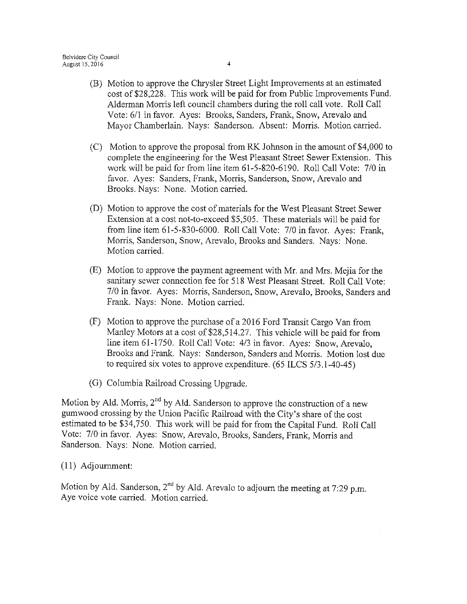- B) Motion to approve the Chrysler Street Light Improvements at an estimated cost of \$28, 228. This work will be paid for from Public Improvements Fund. Alderman Morris left council chambers during the roll call vote. Roll Call Vote: 6/1 in favor. Ayes: Brooks, Sanders, Frank, Snow, Arevalo and Mayor Chamberlain. Nays: Sanderson. Absent: Morris. Motion carried.
- C) Motion to approve the proposal from RK Johnson in the amount of\$4,000 to complete the engineering for the West Pleasant Street Sewer Extension. This work will be paid for from line item 61-5-820-6190. Roll Call Vote: 7/0 in favor. Ayes: Sanders, Frank, Morris, Sanderson, Snow, Arevalo and Brooks. Nays: None. Motion carried.
- D) Motion to approve the cost of materials for the West Pleasant Street Sewer Extension at a cost not-to-exceed \$5,505. These materials will be paid for from line item 61-5-830-6000. Roll Call Vote: 7/0 in favor. Ayes: Frank, Morris, Sanderson, Snow, Arevalo, Brooks and Sanders. Nays: None. Motion carried.
- E) Motion to approve the payment agreement with Mr. and Mrs. Mejia for the sanitary sewer connection fee for 518 West Pleasant Street. Roll Call Vote: 7/0 in favor. Ayes: Morris, Sanderson, Snow, Arevalo, Brooks, Sanders and Frank. Nays: None. Motion carried.
- F) Motion to approve the purchase of <sup>a</sup> 2016 Ford Transit Cargo Van from Manley Motors at a cost of \$28,514.27. This vehicle will be paid for from line item 61-1750. Roll Call Vote: 4/3 in favor. Ayes: Snow, Arevalo, Brooks and Frank. Nays: Sanderson, Sanders and Morris. Motion lost due to required six votes to approve expenditure.  $(65$  ILCS  $5/3.1$ -40-45)
- G) Columbia Railroad Crossing Upgrade.

Motion by Ald. Morris,  $2<sup>nd</sup>$  by Ald. Sanderson to approve the construction of a new gumwood crossing by the Union Pacific Railroad with the City' <sup>s</sup> share of the cost estimated to be \$34,750. This work will be paid for from the Capital Fund. Roll Call Vote: 7/0 in favor. Ayes: Snow, Arevalo, Brooks, Sanders, Frank, Morris and Sanderson. Nays: None. Motion carried.

11) Adjournment:

Motion by Ald. Sanderson,  $2<sup>nd</sup>$  by Ald. Arevalo to adjourn the meeting at 7:29 p.m. Aye voice vote carried. Motion carried.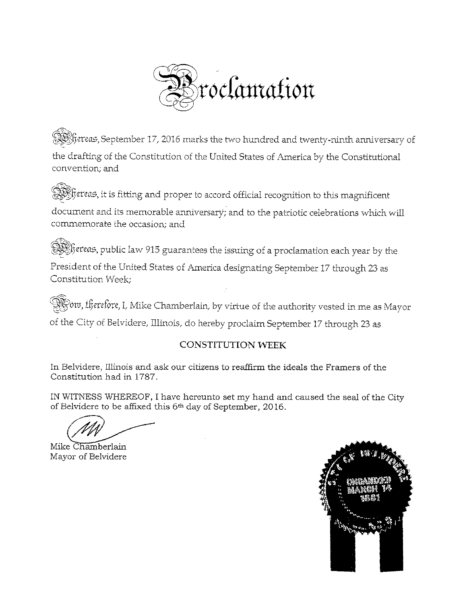

 $\%$ fereas, September 17, 2016 marks the two hundred and twenty-ninth anniversary of the drafting of the Constitution of the United States of America by the Constitutional convention; and

 $\mathbb R$ ffereas, it is fitting and proper to accord official recognition to this magnificent

document and its memorable anniversary; and to the patriotic celebrations which will commernorate the occasion; and

 $\%$ fereas, public law 915 guarantees the issuing of a proclamation each year by the

President of the United States of America designating September 17 through 23 as Constitution Week;

 $\widehat{\mathbb{S}}$  ow, therefore, I, Mike Chamberlain, by virtue of the authority vested in me as Mayor

of the City of Belvidere, Illinois, do hereby proclaim September 17 through 23 as

# CONSTITUTION WEEK

In Belvidere, Illinois and ask our citizens to reaffirm the ideals the Framers of the Constitution had in 1787.

IN WITNESS WHEREOF, I have hereunto set my hand and caused the seal of the City of Belvidere to be affixed this 6th day of September, 2016.

Mike Chamberlain Mayor of Belvidere

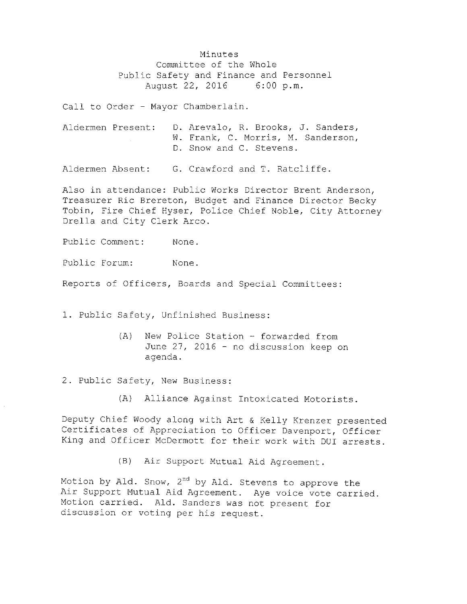Minutes Committee of the Whole Public Safety and Finance and Personnel<br>August 22, 2016 6:00 p.m. August 22, 2016

Call to Order - Mayor Chamberlain.

| Aldermen Present: D. Arevalo, R. Brooks, J. Sanders, |                                    |  |  |
|------------------------------------------------------|------------------------------------|--|--|
|                                                      | W. Frank, C. Morris, M. Sanderson, |  |  |
|                                                      | D. Snow and C. Stevens.            |  |  |

Aldermen Absent: G. Crawford and T. Ratcliffe.

Also in attendance: Public Works Director Brent Anderson, Treasurer Ric Brereton, Budget and Finance Director Becky Tobin, Fire Chief Hyser, Police Chief Noble, City Attorney Drella and City Clerk Arco.

Public Comment: None.

Public Forum: None.

Reports of Officers, Boards and Special Committees :

1 . Public Safety, Unfinished Business :

A) New Police Station - forwarded from June 27, 2016 - no discussion keep on agenda.

2. Public Safety, New Business:

A) Alliance Against Intoxicated Motorists .

Deputy Chief Woody along with Art & Kelly Krenzer presented Certificates of Appreciation to Officer Davenport, Officer King and Officer McDermott for their work with DUI arrests .

B) Air Support Mutual Aid Agreement .

Motion by Ald. Snow,  $2^{nd}$  by Ald. Stevens to approve the Air Support Mutual Aid Agreement. Aye voice vote carried. Motion carried. Ald. Sanders was not present for discussion or voting per his request .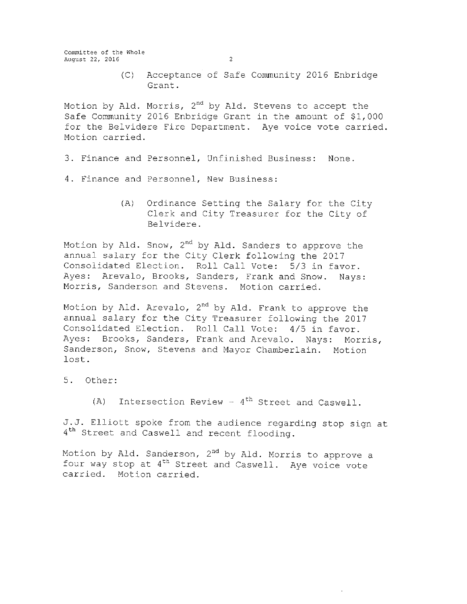Committee of the Whole August 22, 2016 2

- 
- C) Acceptance of Safe Community 2016 Enbridge Grant .

Motion by Ald. Morris, 2<sup>nd</sup> by Ald. Stevens to accept the Safe Community <sup>2016</sup> Enbridge Grant in the amount of \$1, 000 for the Belvidere Fire Department. Aye voice vote carried. Motion carried.

- 3. Finance and Personnel, Unfinished Business: None.
- 4. Finance and Personnel, New Business:
	- A) Ordinance Setting the Salary for the City Clerk and City Treasurer for the City of Belvidere .

Motion by Ald. Snow, 2<sup>nd</sup> by Ald. Sanders to approve the annual salary for the City Clerk following the 2017 Consolidated Election. Roll Call Vote: 5/3 in favor. Ayes: Arevalo, Brooks, Sanders, Frank and Snow. Nays: Morris, Sanderson and Stevens. Motion carried.

Motion by Ald. Arevalo, 2<sup>nd</sup> by Ald. Frank to approve the annual salary for the City Treasurer following the 2017 Consolidated Election. Roll Call Vote: 4/5 in favor. Ayes: Brooks, Sanders, Frank and Arevalo. Nays: Morris, Sanderson, Snow, Stevens and Mayor Chamberlain. Motion lost .

5. Other:

(A) Intersection Review -  $4<sup>th</sup>$  Street and Caswell.

J. J. Elliott spoke from the audience regarding stop sign at 4<sup>th</sup> Street and Caswell and recent flooding.

Motion by Ald. Sanderson, 2<sup>nd</sup> by Ald. Morris to approve a four way stop at 4<sup>th</sup> Street and Caswell. Aye voice vote carried. Motion carried.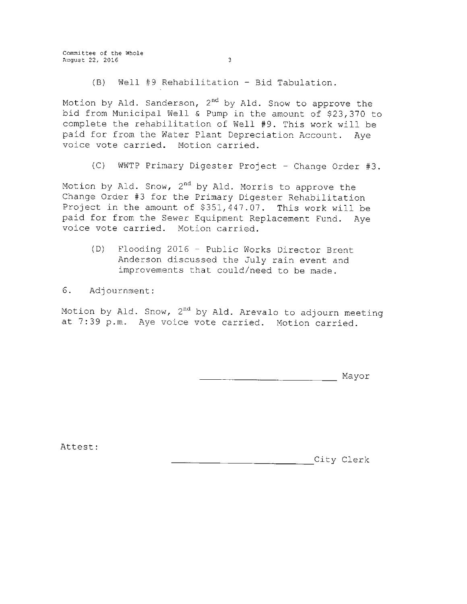Committee of the Whole August 22, 2016 3

 $(B)$  Well #9 Rehabilitation - Bid Tabulation.

Motion by Ald. Sanderson, 2<sup>nd</sup> by Ald. Snow to approve the bid from Municipal Well & Pump in the amount of \$23, 370 to complete the rehabilitation of Well #9. This work will be paid for from the Water Plant Depreciation Account. Aye voice vote carried. Motion carried.

(C) WWTP Primary Digester Project - Change Order #3.

Motion by Ald. Snow, 2<sup>nd</sup> by Ald. Morris to approve the Change Order #<sup>3</sup> for the Primary Digester Rehabilitation Project in the amount of \$351,447.07. This work will be paid for from the Sewer Equipment Replacement Fund. Aye voice vote carried. Motion carried.

D) Flooding 2016 - Public Works Director Brent Anderson discussed the July rain event and improvements that could/need to be made.

6 . Adjournment :

Motion by Aid. Snow, 2nd by Aid. Arevalo to adjourn meeting at 7:39 p.m. Aye voice vote carried. Motion carried.

Mayor

Attest :

City Clerk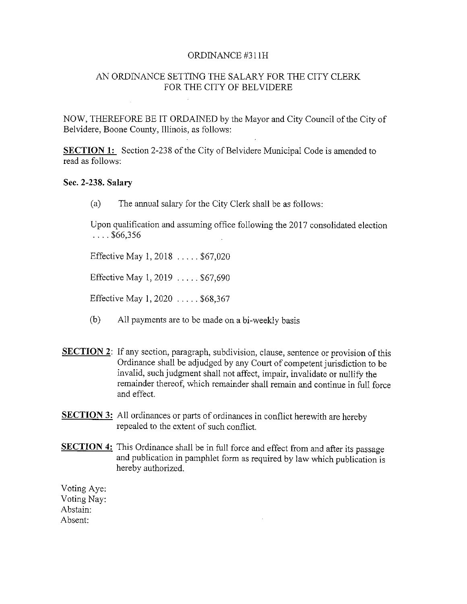#### ORDINANCE #311H

### AN ORDINANCE SETTING THE SALARY FOR THE CITY CLERK FOR THE CITY OF BELVIDERE

NOW, THEREFORE BE IT ORDAINED by the Mayor and City Council of the City of Belvidere, Boone County, Illinois, as follows:

**SECTION 1:** Section 2-238 of the City of Belvidere Municipal Code is amended to read as follows:

#### Sec. 2-238. Salary

a) The annual salary for the City Clerk shall be as follows:

Upon qualification and assuming office following the 2017 consolidated election  $\ldots$  \$66,356

Effective May 1, 2018 . . . . . \$67,020

Effective May 1, 2019 . . . . . \$67,690

Effective May 1, 2020 . . . . . \$68,367

- b) All payments are to be made on <sup>a</sup> bi- weekly basis
- SECTION 2: If any section, paragraph, subdivision, clause, sentence or provision of this Ordinance shall be adjudged by any Court of competent jurisdiction to be invalid, such judgment shall not affect, impair, invalidate or nullify the remainder thereof, which remainder shall remain and continue in full force and effect.
- **SECTION 3:** All ordinances or parts of ordinances in conflict herewith are hereby repealed to the extent of such conflict.
- **SECTION 4:** This Ordinance shall be in full force and effect from and after its passage and publication in pamphlet form as required by law which publication is hereby authorized.

Voting Aye: Voting Nay: Abstain: Absent: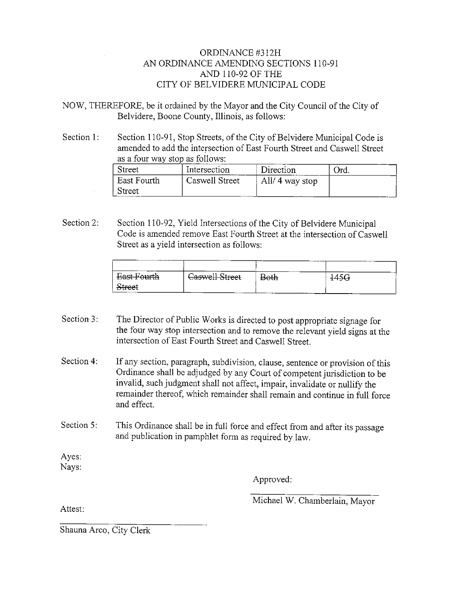### ORDINANCE #312H AN ORDINANCE AMENDING SECTIONS 110-91 AND 110-92 OF THE CITY OF BELVIDERE MUNICIPAL CODE

NOW, THEREFORE, be it ordained by the Mayor and the City Council of the City of Belvidere, Boone County, Illinois, as follows:

Section 1: Section 110-91, Stop Streets, of the City of Belvidere Municipal Code is amended to add the intersection of East Fourth Street and Caswell Street as a four way stop as follows:

| <b>Street</b> | Intersection   | <b>Direction</b> | 'Ord. |
|---------------|----------------|------------------|-------|
| East Fourth   | Caswell Street | All/ 4 way stop  |       |
| <b>Street</b> |                |                  |       |

Section 2: Section 110-92, Yield Intersections of the City of Belvidere Municipal Code is amended remove East Fourth Street at the intersection of Caswell Street as a yield intersection as follows:

| $\blacksquare$<br>East Fourth | Caswell Street | <del>Both</del> | <del>1490</del> |
|-------------------------------|----------------|-----------------|-----------------|
| Street                        |                |                 |                 |

- Section 3: The Director of Public Works is directed to post appropriate signage for the four way stop intersection and to remove the relevant yield signs at the intersection of East Fourth Street and Caswell Street.
- Section 4: If any section, paragraph, subdivision, clause, sentence or provision of this Ordinance shall be adjudged by any Court of competent jurisdiction to be invalid, such judgment shall not affect, impair, invalidate or nullify the remainder thereof, which remainder shall remain and continue in full force and effect.
- Section 5: This Ordinance shall be in full force and effect from and after its passage and publication in pamphlet form as required by law.

Ayes: Nays:

Approved:

Michael W. Chamberlain, Mayor

Attest:

Shauna Arco, City Clerk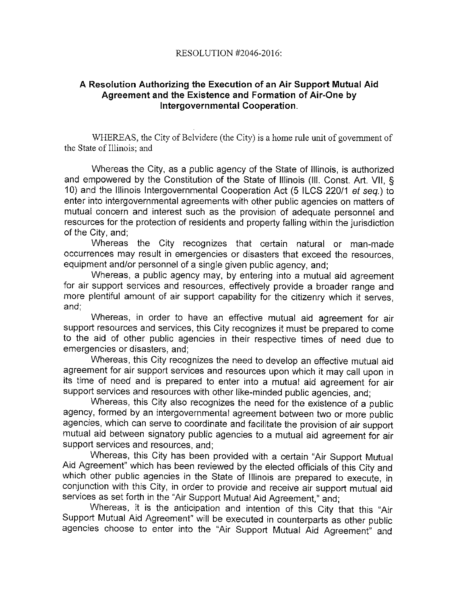#### RESOLUTION #2046-2016:

# A Resolution Authorizing the Execution of an Air Support Mutual Aid Agreement and the Existence and Formation of Air-One by Intergovernmental Cooperation.

WHEREAS, the City of Belvidere (the City) is <sup>a</sup> home rule unit of government of the State of Illinois; and

Whereas the City, as a public agency of the State of Illinois, is authorized and empowered by the Constitution of the State of Illinois (III. Const. Art. VII, § 10) and the Illinois Intergovernmental Cooperation Act (5 ILCS 220/1 et seq.) to enter into intergovernmental agreements with other public agencies on matters of mutual concern and interest such as the provision of adequate personnel and resources for the protection of residents and property falling within the jurisdiction of the City, and;

Whereas the City recognizes that certain natural or man-made occurrences may result in emergencies or disasters that exceed the resources, equipment and/or personnel of a single given public agency, and;

Whereas, a public agency may, by entering into a mutual aid agreement for air support services and resources, effectively provide a broader range and more plentiful amount of air support capability for the citizenry which it serves, and;

Whereas, in order to have an effective mutual aid agreement for air support resources and services, this City recognizes it must be prepared to come to the aid of other public agencies in their respective times of need due to emergencies or disasters, and;

Whereas, this City recognizes the need to develop an effective mutual aid agreement for air support services and resources upon which it may call upon in its time of need and is prepared to enter into a mutual aid agreement for air support services and resources with other like-minded public agencies, and;

Whereas, this City also recognizes the need for the existence of a public agency, formed by an intergovernmental agreement between two or more public agencies, which can serve to coordinate and facilitate the provision of air support mutual aid between signatory public agencies to a mutual aid agreement for air support services and resources, and;

Whereas, this City has been provided with a certain "Air Support Mutual Aid Agreement' which has been reviewed by the elected officials of this City and which other public agencies in the State of Illinois are prepared to execute, in conjunction with this City, in order to provide and receive air support mutual aid services as set forth in the "Air Support Mutual Aid Agreement," and;

Whereas, it is the anticipation and intention of this City that this "Air Support Mutual Aid Agreement' will be executed in counterparts as other public agencies choose to enter into the "Air Support Mutual Aid Agreement' and